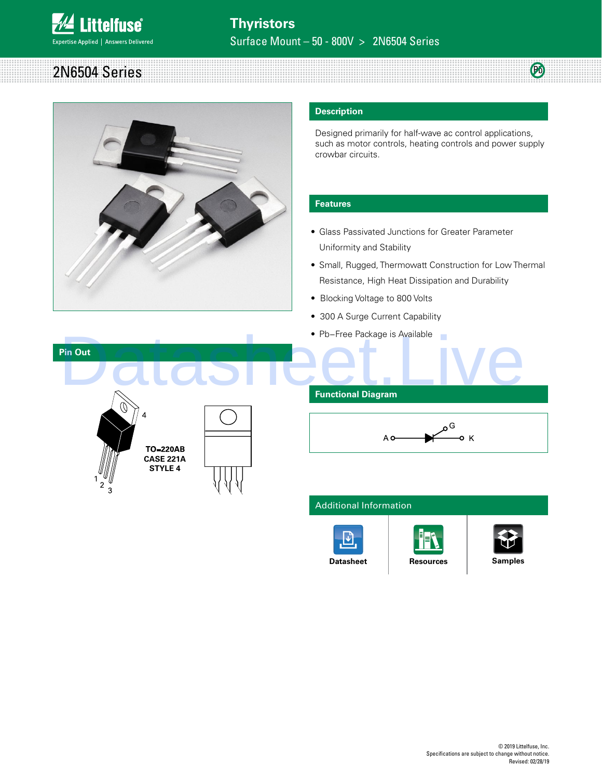

| つい     |  | <b>TOM</b> |
|--------|--|------------|
| .<br>. |  | 170.       |
| ారు.   |  |            |
|        |  |            |
|        |  |            |



### **Description**

Designed primarily for half-wave ac control applications, such as motor controls, heating controls and power supply crowbar circuits.

### **Features**

- Glass Passivated Junctions for Greater Parameter Uniformity and Stability
- Small, Rugged, Thermowatt Construction for Low Thermal Resistance, High Heat Dissipation and Durability
- Blocking Voltage to 800 Volts
- 300 A Surge Current Capability
- Pb−Free Package is Available



# **Functional Diagram**



#### Additional Information





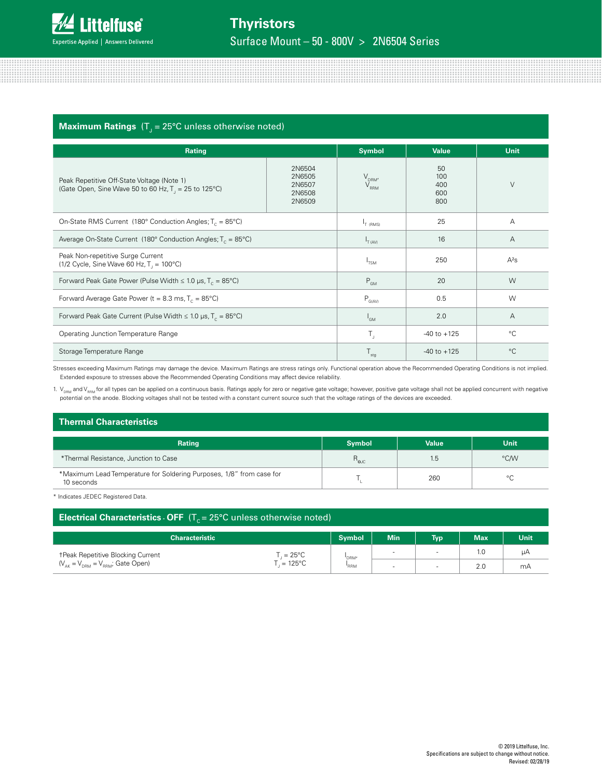

# $\bm{\mathsf{Maximum}~Ratings}$  (T $_{\text{J}}$  = 25°C unless otherwise noted)

| Rating                                                                                                                                                  |                           | <b>Symbol</b>                          | <b>Value</b>                   | <b>Unit</b> |
|---------------------------------------------------------------------------------------------------------------------------------------------------------|---------------------------|----------------------------------------|--------------------------------|-------------|
| 2N6504<br>2N6505<br>Peak Repetitive Off-State Voltage (Note 1)<br>2N6507<br>(Gate Open, Sine Wave 50 to 60 Hz, $T_1 = 25$ to 125°C)<br>2N6508<br>2N6509 |                           | $V_{DRM'}$<br>$\rm V_{_{RRM}}$         | 50<br>100<br>400<br>600<br>800 | $\vee$      |
| On-State RMS Current (180 $^{\circ}$ Conduction Angles; T <sub>c</sub> = 85 $^{\circ}$ C)                                                               | $I_{T(RMS)}$              | 25                                     | A                              |             |
| Average On-State Current (180° Conduction Angles; $T_c = 85^{\circ}$ C)                                                                                 |                           | $I_{\text{T (AV)}}$                    | 16                             | Α           |
| Peak Non-repetitive Surge Current<br>(1/2 Cycle, Sine Wave 60 Hz, $T_1 = 100^{\circ}$ C)                                                                |                           | <sup>1</sup> TSM                       | 250                            | $A^2S$      |
| Forward Peak Gate Power (Pulse Width $\leq 1.0$ µs, T <sub>c</sub> = 85°C)                                                                              | $P_{GM}$                  | 20                                     | W                              |             |
| Forward Average Gate Power ( $t = 8.3$ ms, $T_c = 85^{\circ}$ C)                                                                                        |                           | $\mathsf{P}_{\mathsf{G}(\mathsf{AV})}$ | 0.5                            | W           |
| Forward Peak Gate Current (Pulse Width $\leq 1.0$ µs, T <sub>c</sub> = 85°C)                                                                            | $I_{GM}$                  | 2.0                                    | Α                              |             |
| Operating Junction Temperature Range                                                                                                                    | $\mathsf{T}_{\mathsf{J}}$ | $-40$ to $+125$                        | $^{\circ}C$                    |             |
| Storage Temperature Range                                                                                                                               |                           | $T_{\text{stg}}$                       | $-40$ to $+125$                | $^{\circ}C$ |

Stresses exceeding Maximum Ratings may damage the device. Maximum Ratings are stress ratings only. Functional operation above the Recommended Operating Conditions is not implied. Extended exposure to stresses above the Recommended Operating Conditions may affect device reliability.

1. V<sub>DRM</sub> and V<sub>RRM</sub> for all types can be applied on a continuous basis. Ratings apply for zero or negative gate voltage; however, positive gate voltage shall not be applied concurrent with negative potential on the anode. Blocking voltages shall not be tested with a constant current source such that the voltage ratings of the devices are exceeded.

## **Thermal Characteristics**

| <b>Rating</b>                                                                      | <b>Symbol</b>  | <b>Value</b> | Unit    |
|------------------------------------------------------------------------------------|----------------|--------------|---------|
| *Thermal Resistance, Junction to Case                                              | $R_{\rm g,IC}$ | 1.5          | °C/W    |
| *Maximum Lead Temperature for Soldering Purposes, 1/8" from case for<br>10 seconds |                | 260          | $\circ$ |

\* Indicates JEDEC Registered Data.

| Electrical Characteristics $\cdot$ OFF (T <sub>c</sub> = 25°C unless otherwise noted) |                         |               |                          |            |            |      |
|---------------------------------------------------------------------------------------|-------------------------|---------------|--------------------------|------------|------------|------|
| <b>Characteristic</b>                                                                 |                         | <b>Symbol</b> | <b>Min</b>               | <b>Typ</b> | <b>Max</b> | Unit |
| <b>TPeak Repetitive Blocking Current</b>                                              | $\Gamma = 25^{\circ}$ C | 'DRM'         |                          |            | 1.C        | uА   |
| $(V_{\text{AK}} = V_{\text{DBM}} = V_{\text{BBM}}$ ; Gate Open)                       | $i = 125^{\circ}$ C     | "RRM          | $\overline{\phantom{a}}$ |            | 2.0        | mА   |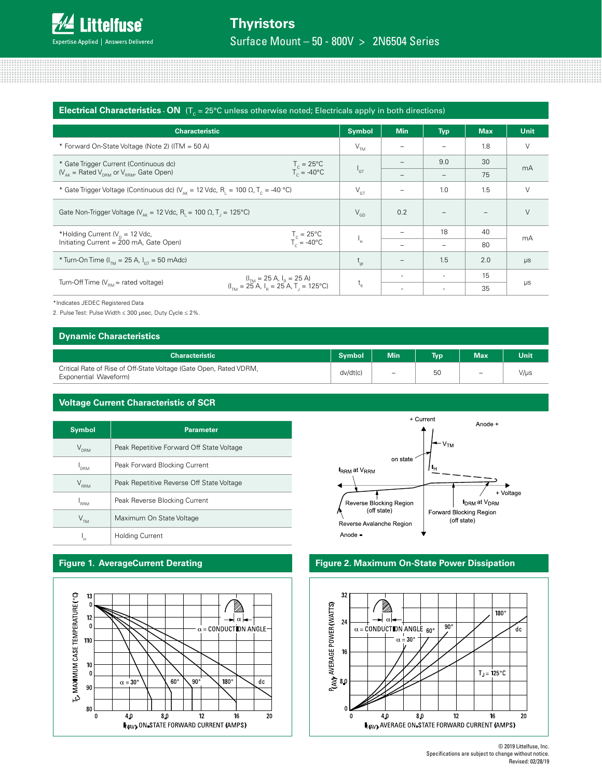

|                                                                                                                             | <b>Electrical Characteristics - ON</b> ( $T_c = 25^{\circ}$ C unless otherwise noted; Electricals apply in both directions)                                        |               |                          |                          |            |             |
|-----------------------------------------------------------------------------------------------------------------------------|--------------------------------------------------------------------------------------------------------------------------------------------------------------------|---------------|--------------------------|--------------------------|------------|-------------|
| <b>Characteristic</b>                                                                                                       |                                                                                                                                                                    | <b>Symbol</b> | <b>Min</b>               | <b>Typ</b>               | <b>Max</b> | <b>Unit</b> |
| * Forward On-State Voltage (Note 2) (ITM = 50 A)                                                                            |                                                                                                                                                                    | $V_{TM}$      |                          |                          | 1.8        | $\vee$      |
| * Gate Trigger Current (Continuous dc)                                                                                      | $T_c = 25^{\circ}C$                                                                                                                                                |               |                          | 9.0                      | 30         | mA          |
| $(V_{AK} = \text{Rated } V_{DRM}$ or $V_{RRM}$ , Gate Open)                                                                 | $T_c = -40^{\circ}C$                                                                                                                                               | $I_{GT}$      |                          |                          | 75         |             |
| * Gate Trigger Voltage (Continuous dc) ( $V_{\text{av}}$ = 12 Vdc, R <sub>1</sub> = 100 $\Omega$ , T <sub>c</sub> = -40 °C) |                                                                                                                                                                    |               | $\overline{\phantom{0}}$ | 1.0                      | 1.5        | $\vee$      |
| Gate Non-Trigger Voltage ( $V_{\text{av}}$ = 12 Vdc, R <sub>1</sub> = 100 $\Omega$ , T <sub>1</sub> = 125°C)                |                                                                                                                                                                    |               | 0.2                      |                          |            | $\vee$      |
| *Holding Current ( $V_p = 12$ Vdc,                                                                                          |                                                                                                                                                                    |               |                          | 18                       | 40         | mA          |
| Initiating Current = 200 mA, Gate Open)                                                                                     | $T_c = 25^{\circ}C$<br>$T_c = -40^{\circ}C$                                                                                                                        | 'n            |                          | $\overline{\phantom{0}}$ | 80         |             |
| * Turn-On Time ( $I_{T_M}$ = 25 A, $I_{cT}$ = 50 mAdc)                                                                      |                                                                                                                                                                    |               |                          | 1.5                      | 2.0        | $\mu s$     |
|                                                                                                                             | $(I_{\text{TM}} = 25 \text{ A}, I_{\text{R}} = 25 \text{ A})$<br>$(I_{\text{TM}} = 25 \text{ A}, I_{\text{R}} = 25 \text{ A}, T_{\text{J}} = 125^{\circ}\text{C})$ |               |                          | ۰                        | 15         | $\mu s$     |
| Turn-Off Time $(V_{\text{EM}}$ = rated voltage)                                                                             |                                                                                                                                                                    | $t_q$         |                          |                          | 35         |             |

\*Indicates JEDEC Registered Data

2. Pulse Test: Pulse Width ≤ 300 µsec, Duty Cycle ≤ 2%.

#### **Dynamic Characteristics**

| ---------------------                                                                       |               |                          |      |                                 |      |
|---------------------------------------------------------------------------------------------|---------------|--------------------------|------|---------------------------------|------|
| <b>Characteristic</b>                                                                       | <b>Symbol</b> | <b>Min</b>               | Typ. | <b>Max</b>                      | Unit |
| Critical Rate of Rise of Off-State Voltage (Gate Open, Rated VDRM,<br>Exponential Waveform) | dv/dt(c)      | $\overline{\phantom{0}}$ | 50   | $\hspace{0.1mm}-\hspace{0.1mm}$ | V/µs |

### **Voltage Current Characteristic of SCR**

| <b>Symbol</b>                     | <b>Parameter</b>                          |
|-----------------------------------|-------------------------------------------|
| $V_{\rho_{\mathsf{R}\mathsf{M}}}$ | Peak Repetitive Forward Off State Voltage |
| <b>DRM</b>                        | Peak Forward Blocking Current             |
| $\rm V_{_{RRM}}$                  | Peak Repetitive Reverse Off State Voltage |
| I <sub>RRM</sub>                  | Peak Reverse Blocking Current             |
| $\mathsf{V}_{\sf TM}$             | Maximum On State Voltage                  |
|                                   | <b>Holding Current</b>                    |





# **Figure 1. AverageCurrent Derating Figure 2. Maximum On-State Power Dissipation**

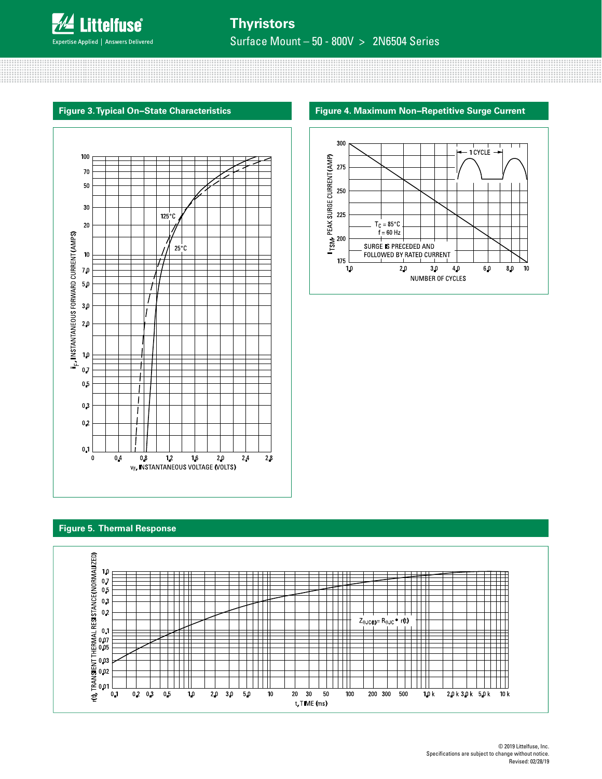

Surface Mount – 50 - 800V > 2N6504 Series



#### **Figure 3. Typical On−State Characteristics Figure 4. Maximum Non−Repetitive Surge Current**



### **Figure 5. Thermal Response**

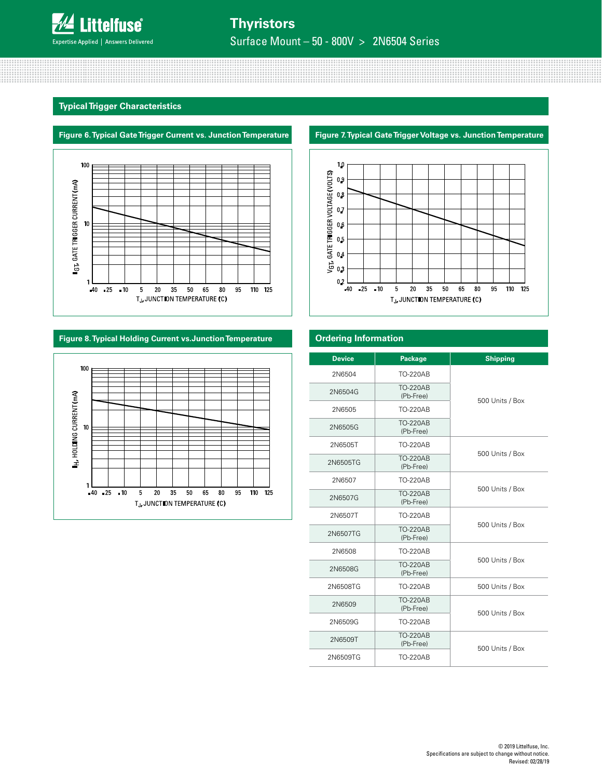

Surface Mount – 50 - 800V > 2N6504 Series

### **Typical Trigger Characteristics**





# **Figure 8. Typical Holding Current vs.Junction Temperature Ordering Information**



# ${\bf 1.0}$  $\begin{array}{ccccccccc} \mathsf{V}_\mathsf{G1}, \mathsf{GATE} & \mathsf{HIGGER}\ \mathsf{VOL} \mathsf{AGE} (\mathsf{VOLIS}) \\ \mathbb{C} & \mathbb{C} & \mathbb{C} & \mathbb{C} & \mathbb{C} & \mathbb{C} \\ \end{array}$  $0.2$  $110$  125  $-40 - 25 - 10$  $\overline{\mathbf{5}}$  $20\,$  $35$ 50 65  ${\bf 80}$  $95\,$ TJ, JUNCTION TEMPERATURE (C)

| <b>Device</b> | Package                      | <b>Shipping</b> |
|---------------|------------------------------|-----------------|
| 2N6504        | <b>TO-220AB</b>              |                 |
| 2N6504G       | <b>TO-220AB</b><br>(Pb-Free) | 500 Units / Box |
| 2N6505        | <b>TO-220AB</b>              |                 |
| 2N6505G       | <b>TO-220AB</b><br>(Pb-Free) |                 |
| 2N6505T       | <b>TO-220AB</b>              |                 |
| 2N6505TG      | <b>TO-220AB</b><br>(Pb-Free) | 500 Units / Box |
| 2N6507        | <b>TO-220AB</b>              |                 |
| 2N6507G       | <b>TO-220AB</b><br>(Pb-Free) | 500 Units / Box |
| 2N6507T       | <b>TO-220AB</b>              |                 |
| 2N6507TG      | <b>TO-220AB</b><br>(Pb-Free) | 500 Units / Box |
| 2N6508        | <b>TO-220AB</b>              |                 |
| 2N6508G       | <b>TO-220AB</b><br>(Pb-Free) | 500 Units / Box |
| 2N6508TG      | <b>TO-220AB</b>              | 500 Units / Box |
| 2N6509        | <b>TO-220AB</b><br>(Pb-Free) | 500 Units / Box |
| 2N6509G       | <b>TO-220AB</b>              |                 |
| 2N6509T       | <b>TO-220AB</b><br>(Pb-Free) | 500 Units / Box |
| 2N6509TG      | <b>TO-220AB</b>              |                 |

# **Figure 7. Typical Gate Trigger Voltage vs. Junction Temperature**